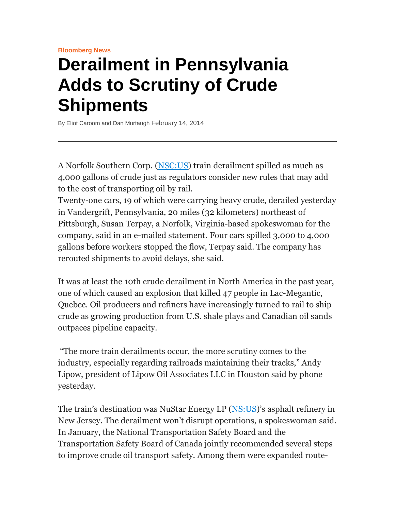## **Derailment in Pennsylvania Adds to Scrutiny of Crude Shipments**

By Eliot Caroom and Dan Murtaugh February 14, 2014

A Norfolk Southern Corp. (NSC:US) train derailment spilled as much as 4,000 gallons of crude just as regulators consider new rules that may add to the cost of transporting oil by rail.

Twenty-one cars, 19 of which were carrying heavy crude, derailed yesterday in Vandergrift, Pennsylvania, 20 miles (32 kilometers) northeast of Pittsburgh, Susan Terpay, a Norfolk, Virginia-based spokeswoman for the company, said in an e-mailed statement. Four cars spilled 3,000 to 4,000 gallons before workers stopped the flow, Terpay said. The company has rerouted shipments to avoid delays, she said.

It was at least the 10th crude derailment in North America in the past year, one of which caused an explosion that killed 47 people in Lac-Megantic, Quebec. Oil producers and refiners have increasingly turned to rail to ship crude as growing production from U.S. shale plays and Canadian oil sands outpaces pipeline capacity.

 "The more train derailments occur, the more scrutiny comes to the industry, especially regarding railroads maintaining their tracks," Andy Lipow, president of Lipow Oil Associates LLC in Houston said by phone yesterday.

The train's destination was NuStar Energy LP (NS:US)'s asphalt refinery in New Jersey. The derailment won't disrupt operations, a spokeswoman said. In January, the National Transportation Safety Board and the Transportation Safety Board of Canada jointly recommended several steps to improve crude oil transport safety. Among them were expanded route-

**Bloomberg News**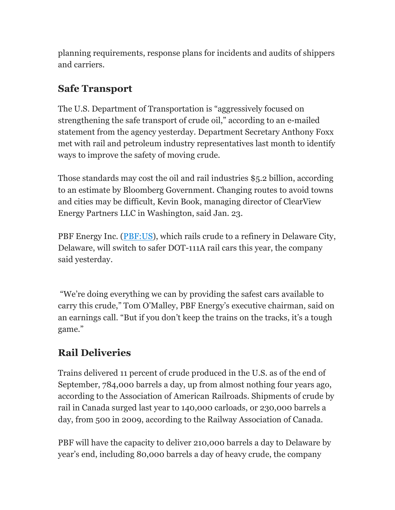planning requirements, response plans for incidents and audits of shippers and carriers.

## **Safe Transport**

The U.S. Department of Transportation is "aggressively focused on strengthening the safe transport of crude oil," according to an e-mailed statement from the agency yesterday. Department Secretary Anthony Foxx met with rail and petroleum industry representatives last month to identify ways to improve the safety of moving crude.

Those standards may cost the oil and rail industries \$5.2 billion, according to an estimate by Bloomberg Government. Changing routes to avoid towns and cities may be difficult, Kevin Book, managing director of ClearView Energy Partners LLC in Washington, said Jan. 23.

PBF Energy Inc. (PBF:US), which rails crude to a refinery in Delaware City, Delaware, will switch to safer DOT-111A rail cars this year, the company said yesterday.

 "We're doing everything we can by providing the safest cars available to carry this crude," Tom O'Malley, PBF Energy's executive chairman, said on an earnings call. "But if you don't keep the trains on the tracks, it's a tough game."

## **Rail Deliveries**

Trains delivered 11 percent of crude produced in the U.S. as of the end of September, 784,000 barrels a day, up from almost nothing four years ago, according to the Association of American Railroads. Shipments of crude by rail in Canada surged last year to 140,000 carloads, or 230,000 barrels a day, from 500 in 2009, according to the Railway Association of Canada.

PBF will have the capacity to deliver 210,000 barrels a day to Delaware by year's end, including 80,000 barrels a day of heavy crude, the company